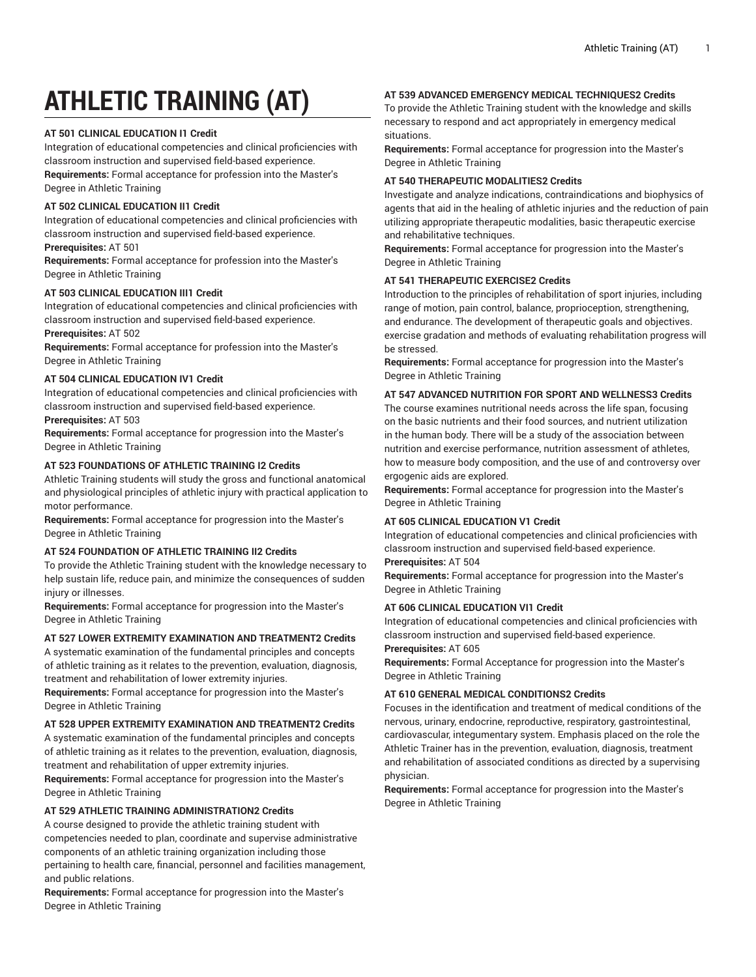# **ATHLETIC TRAINING (AT)**

# **AT 501 CLINICAL EDUCATION I1 Credit**

Integration of educational competencies and clinical proficiencies with classroom instruction and supervised field-based experience. **Requirements:** Formal acceptance for profession into the Master's Degree in Athletic Training

# **AT 502 CLINICAL EDUCATION II1 Credit**

Integration of educational competencies and clinical proficiencies with classroom instruction and supervised field-based experience.

# **Prerequisites:** AT 501

**Requirements:** Formal acceptance for profession into the Master's Degree in Athletic Training

# **AT 503 CLINICAL EDUCATION III1 Credit**

Integration of educational competencies and clinical proficiencies with classroom instruction and supervised field-based experience. **Prerequisites:** AT 502

**Requirements:** Formal acceptance for profession into the Master's Degree in Athletic Training

# **AT 504 CLINICAL EDUCATION IV1 Credit**

Integration of educational competencies and clinical proficiencies with classroom instruction and supervised field-based experience.

## **Prerequisites:** AT 503

**Requirements:** Formal acceptance for progression into the Master's Degree in Athletic Training

# **AT 523 FOUNDATIONS OF ATHLETIC TRAINING I2 Credits**

Athletic Training students will study the gross and functional anatomical and physiological principles of athletic injury with practical application to motor performance.

**Requirements:** Formal acceptance for progression into the Master's Degree in Athletic Training

# **AT 524 FOUNDATION OF ATHLETIC TRAINING II2 Credits**

To provide the Athletic Training student with the knowledge necessary to help sustain life, reduce pain, and minimize the consequences of sudden injury or illnesses.

**Requirements:** Formal acceptance for progression into the Master's Degree in Athletic Training

# **AT 527 LOWER EXTREMITY EXAMINATION AND TREATMENT2 Credits**

A systematic examination of the fundamental principles and concepts of athletic training as it relates to the prevention, evaluation, diagnosis, treatment and rehabilitation of lower extremity injuries.

**Requirements:** Formal acceptance for progression into the Master's Degree in Athletic Training

# **AT 528 UPPER EXTREMITY EXAMINATION AND TREATMENT2 Credits**

A systematic examination of the fundamental principles and concepts of athletic training as it relates to the prevention, evaluation, diagnosis, treatment and rehabilitation of upper extremity injuries.

**Requirements:** Formal acceptance for progression into the Master's Degree in Athletic Training

# **AT 529 ATHLETIC TRAINING ADMINISTRATION2 Credits**

A course designed to provide the athletic training student with competencies needed to plan, coordinate and supervise administrative components of an athletic training organization including those pertaining to health care, financial, personnel and facilities management, and public relations.

**Requirements:** Formal acceptance for progression into the Master's Degree in Athletic Training

## **AT 539 ADVANCED EMERGENCY MEDICAL TECHNIQUES2 Credits**

To provide the Athletic Training student with the knowledge and skills necessary to respond and act appropriately in emergency medical situations.

**Requirements:** Formal acceptance for progression into the Master's Degree in Athletic Training

## **AT 540 THERAPEUTIC MODALITIES2 Credits**

Investigate and analyze indications, contraindications and biophysics of agents that aid in the healing of athletic injuries and the reduction of pain utilizing appropriate therapeutic modalities, basic therapeutic exercise and rehabilitative techniques.

**Requirements:** Formal acceptance for progression into the Master's Degree in Athletic Training

# **AT 541 THERAPEUTIC EXERCISE2 Credits**

Introduction to the principles of rehabilitation of sport injuries, including range of motion, pain control, balance, proprioception, strengthening, and endurance. The development of therapeutic goals and objectives. exercise gradation and methods of evaluating rehabilitation progress will be stressed.

**Requirements:** Formal acceptance for progression into the Master's Degree in Athletic Training

# **AT 547 ADVANCED NUTRITION FOR SPORT AND WELLNESS3 Credits**

The course examines nutritional needs across the life span, focusing on the basic nutrients and their food sources, and nutrient utilization in the human body. There will be a study of the association between nutrition and exercise performance, nutrition assessment of athletes, how to measure body composition, and the use of and controversy over ergogenic aids are explored.

**Requirements:** Formal acceptance for progression into the Master's Degree in Athletic Training

# **AT 605 CLINICAL EDUCATION V1 Credit**

Integration of educational competencies and clinical proficiencies with classroom instruction and supervised field-based experience.

## **Prerequisites:** AT 504

**Requirements:** Formal acceptance for progression into the Master's Degree in Athletic Training

# **AT 606 CLINICAL EDUCATION VI1 Credit**

Integration of educational competencies and clinical proficiencies with classroom instruction and supervised field-based experience.

## **Prerequisites:** AT 605

**Requirements:** Formal Acceptance for progression into the Master's Degree in Athletic Training

# **AT 610 GENERAL MEDICAL CONDITIONS2 Credits**

Focuses in the identification and treatment of medical conditions of the nervous, urinary, endocrine, reproductive, respiratory, gastrointestinal, cardiovascular, integumentary system. Emphasis placed on the role the Athletic Trainer has in the prevention, evaluation, diagnosis, treatment and rehabilitation of associated conditions as directed by a supervising physician.

**Requirements:** Formal acceptance for progression into the Master's Degree in Athletic Training